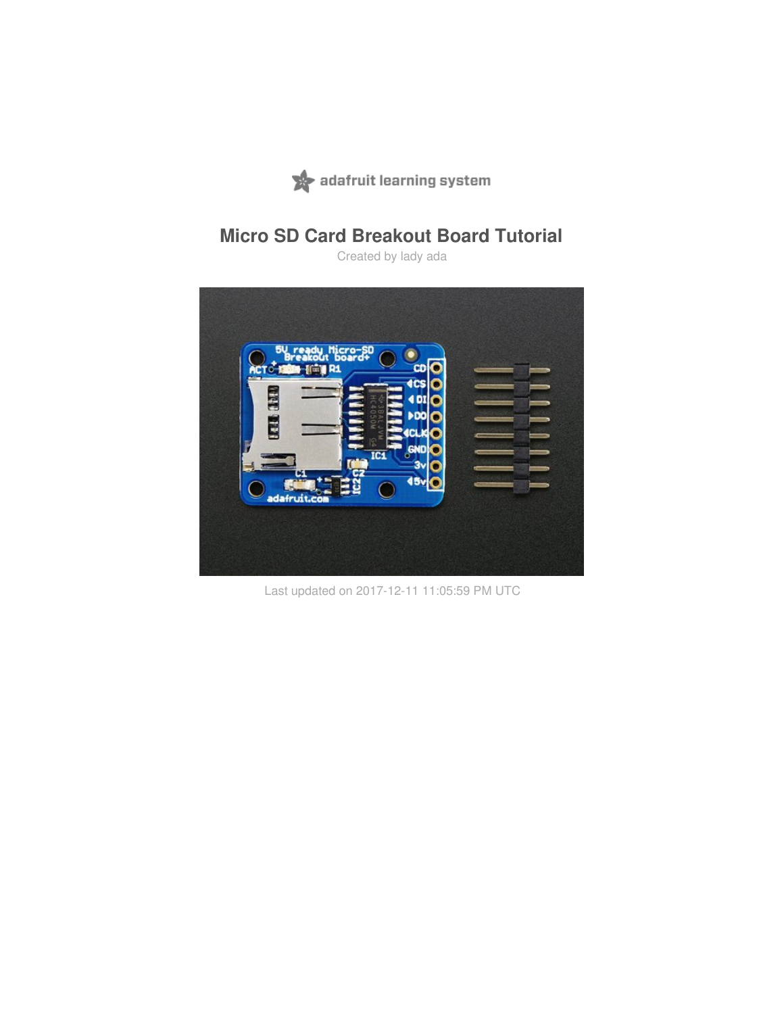

# **Micro SD Card Breakout Board Tutorial**

Created by lady ada



Last updated on 2017-12-11 11:05:59 PM UTC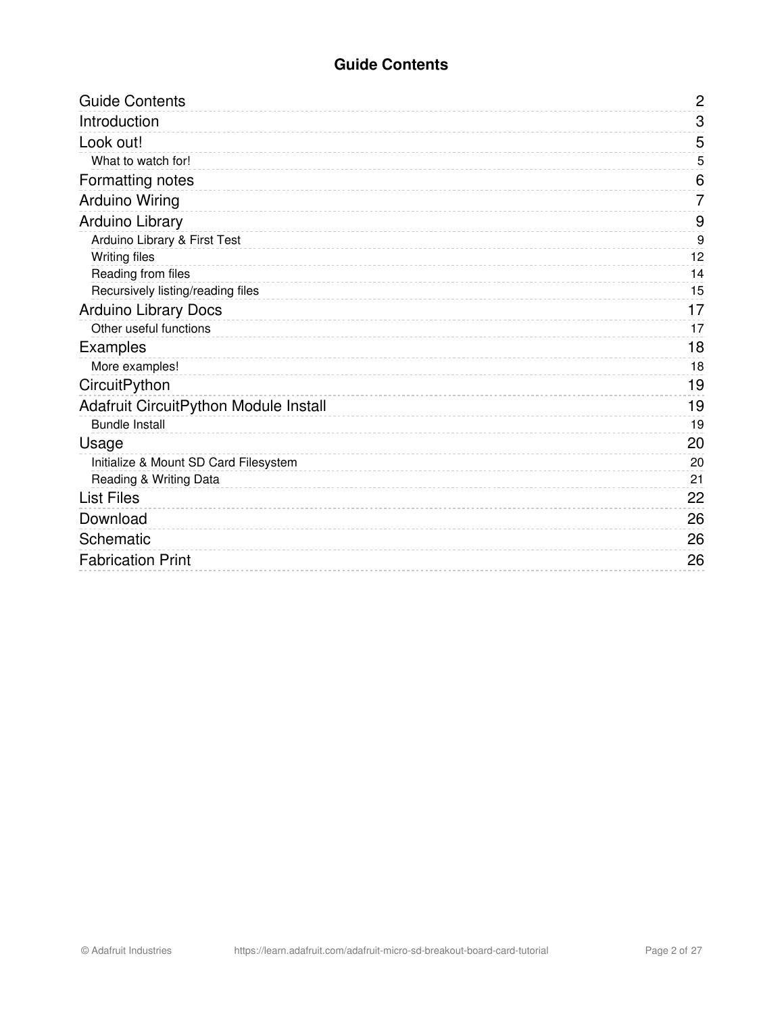### **Guide Contents**

<span id="page-1-0"></span>

| <b>Guide Contents</b>                 | $\mathbf{2}$     |
|---------------------------------------|------------------|
| Introduction                          | 3                |
| Look out!                             | 5                |
| What to watch for!                    | 5                |
| Formatting notes                      | 6                |
| <b>Arduino Wiring</b>                 | 7                |
| Arduino Library                       | 9                |
| Arduino Library & First Test          | $\boldsymbol{9}$ |
| <b>Writing files</b>                  | 12               |
| Reading from files                    | 14               |
| Recursively listing/reading files     | 15               |
| <b>Arduino Library Docs</b>           | 17               |
| Other useful functions                | 17               |
| <b>Examples</b>                       | 18               |
| More examples!                        | 18               |
| CircuitPython                         | 19               |
| Adafruit CircuitPython Module Install | 19               |
| <b>Bundle Install</b>                 | 19               |
| Usage                                 | 20               |
| Initialize & Mount SD Card Filesystem | 20               |
| Reading & Writing Data                | 21               |
| <b>List Files</b>                     | 22               |
| Download                              | 26               |
| Schematic                             | 26               |
| <b>Fabrication Print</b>              | 26               |
|                                       |                  |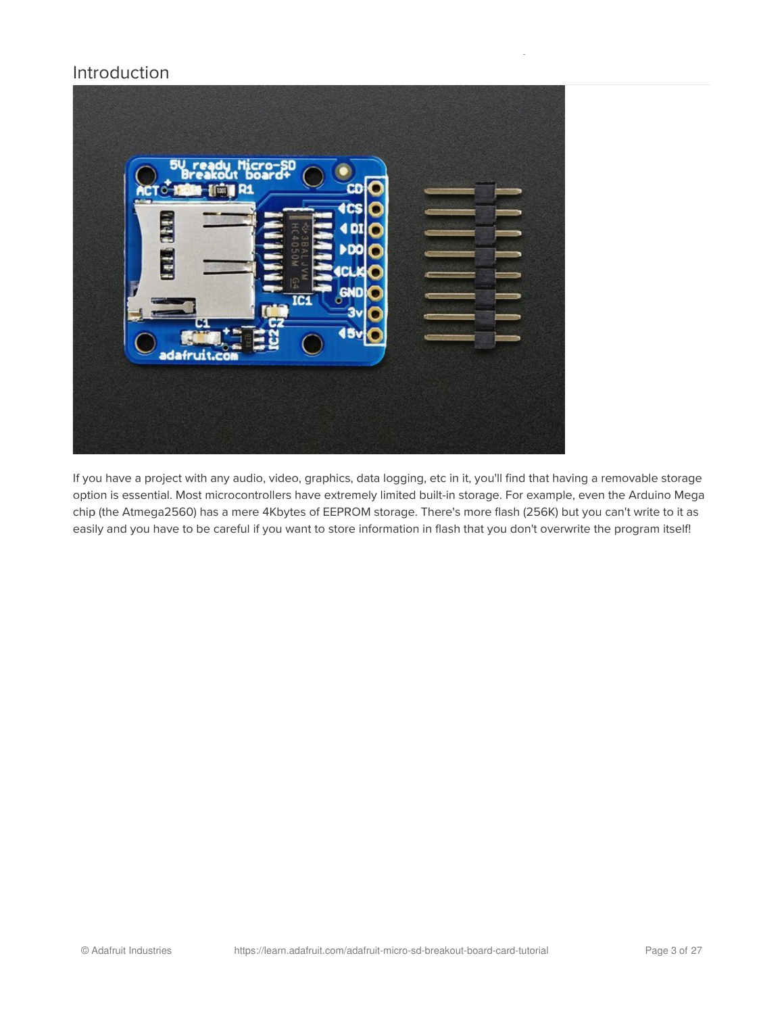### <span id="page-2-0"></span>Introduction



If you have a project with any audio, video, graphics, data logging, etc in it, you'll find that having a removable storage option is essential. Most microcontrollers have extremely limited built-in storage. For example, even the Arduino Mega chip (the Atmega2560) has a mere 4Kbytes of EEPROM storage. There's more flash (256K) but you can't write to it as easily and you have to be careful if you want to store information in flash that you don't overwrite the program itself!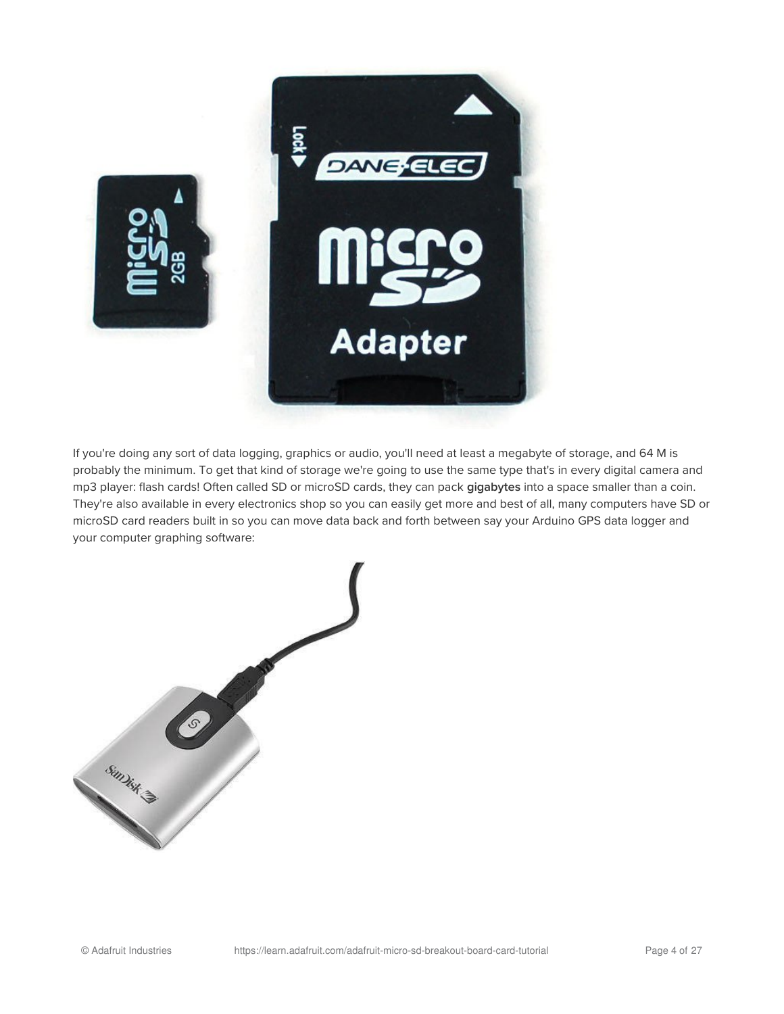

If you're doing any sort of data logging, graphics or audio, you'll need at least a megabyte of storage, and 64 M is probably the minimum. To get that kind of storage we're going to use the same type that's in every digital camera and mp3 player: flash cards! Often called SD or microSD cards, they can pack gigabytes into a space smaller than a coin. They're also available in every electronics shop so you can easily get more and best of all, many computers have SD or microSD card readers built in so you can move data back and forth between say your Arduino GPS data logger and your computer graphing software:

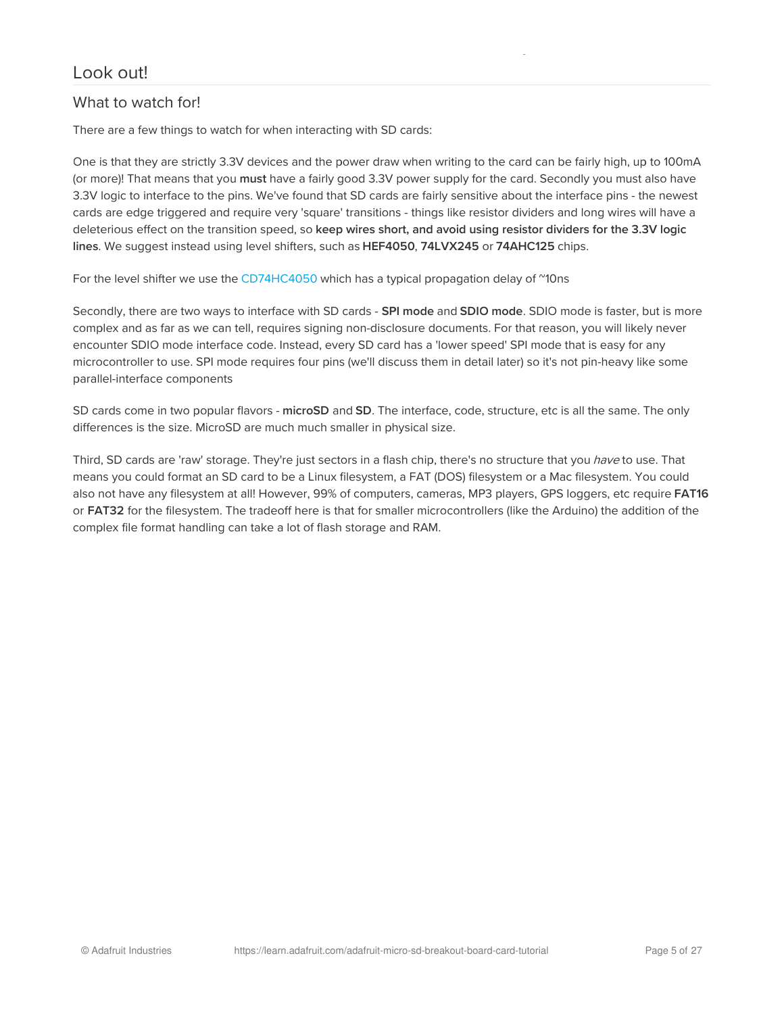### <span id="page-4-1"></span><span id="page-4-0"></span>What to watch for!

There are a few things to watch for when interacting with SD cards:

One is that they are strictly 3.3V devices and the power draw when writing to the card can be fairly high, up to 100mA (or more)! That means that you must have a fairly good 3.3V power supply for the card. Secondly you must also have 3.3V logic to interface to the pins. We've found that SD cards are fairly sensitive about the interface pins - the newest cards are edge triggered and require very 'square' transitions - things like resistor dividers and long wires will have a deleterious effect on the transition speed, so keep wires short, and avoid using resistor dividers for the 3.3V logic lines. We suggest instead using level shifters, such as HEF4050, 74LVX245 or 74AHC125 chips.

For the level shifter we use the [CD74HC4050](http://www.ti.com/product/CD74HC4050/) which has a typical propagation delay of "10ns

Secondly, there are two ways to interface with SD cards - SPI mode and SDIO mode. SDIO mode is faster, but is more complex and as far as we can tell, requires signing non-disclosure documents. For that reason, you will likely never encounter SDIO mode interface code. Instead, every SD card has a 'lower speed' SPI mode that is easy for any microcontroller to use. SPI mode requires four pins (we'll discuss them in detail later) so it's not pin-heavy like some parallel-interface components

SD cards come in two popular flavors - microSD and SD. The interface, code, structure, etc is all the same. The only differences is the size. MicroSD are much much smaller in physical size.

Third, SD cards are 'raw' storage. They're just sectors in a flash chip, there's no structure that you *have* to use. That means you could format an SD card to be a Linux filesystem, a FAT (DOS) filesystem or a Mac filesystem. You could also not have any filesystem at all! However, 99% of computers, cameras, MP3 players, GPS loggers, etc require FAT16 or FAT32 for the filesystem. The tradeoff here is that for smaller microcontrollers (like the Arduino) the addition of the complex file format handling can take a lot of flash storage and RAM.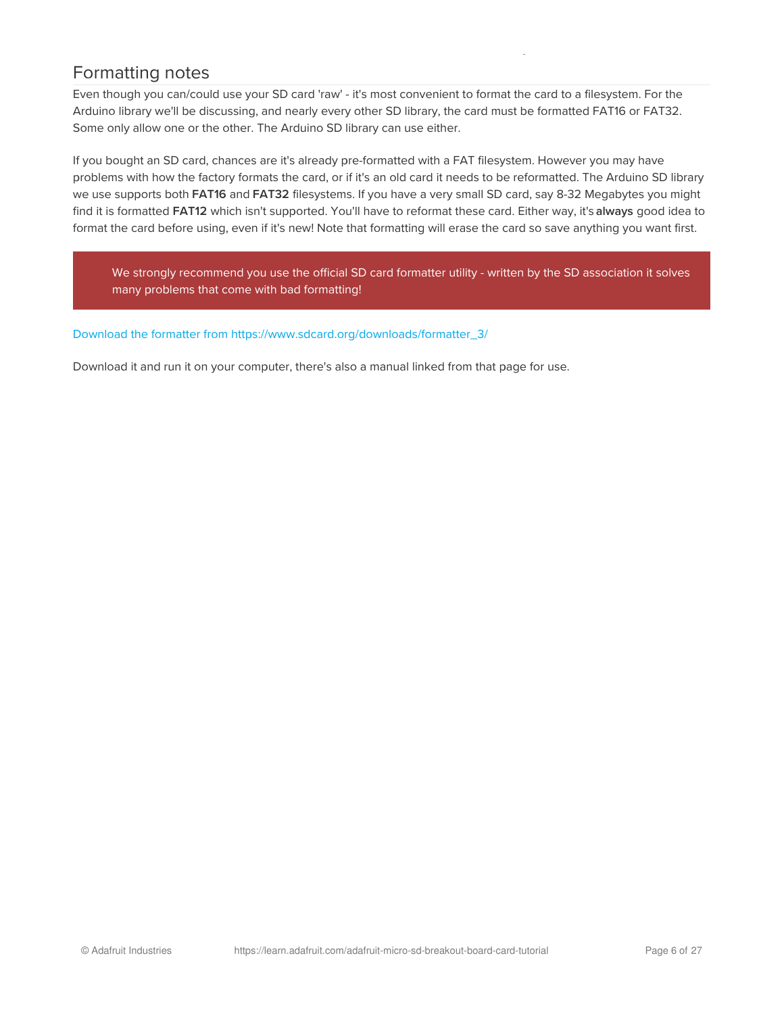## <span id="page-5-0"></span>Formatting notes

Even though you can/could use your SD card 'raw' - it's most convenient to format the card to a filesystem. For the Arduino library we'll be discussing, and nearly every other SD library, the card must be formatted FAT16 or FAT32. Some only allow one or the other. The Arduino SD library can use either.

If you bought an SD card, chances are it's already pre-formatted with a FAT filesystem. However you may have problems with how the factory formats the card, or if it's an old card it needs to be reformatted. The Arduino SD library we use supports both FAT16 and FAT32 filesystems. If you have a very small SD card, say 8-32 Megabytes you might find it is formatted FAT12 which isn't supported. You'll have to reformat these card. Either way, it's always good idea to format the card before using, even if it's new! Note that formatting will erase the card so save anything you want first.

We strongly recommend you use the official SD card formatter utility - written by the SD association it solves many problems that come with bad formatting!

#### Download the formatter from [https://www.sdcard.org/downloads/formatter\\_3/](https://www.sdcard.org/downloads/formatter_3/)

Download it and run it on your computer, there's also a manual linked from that page for use.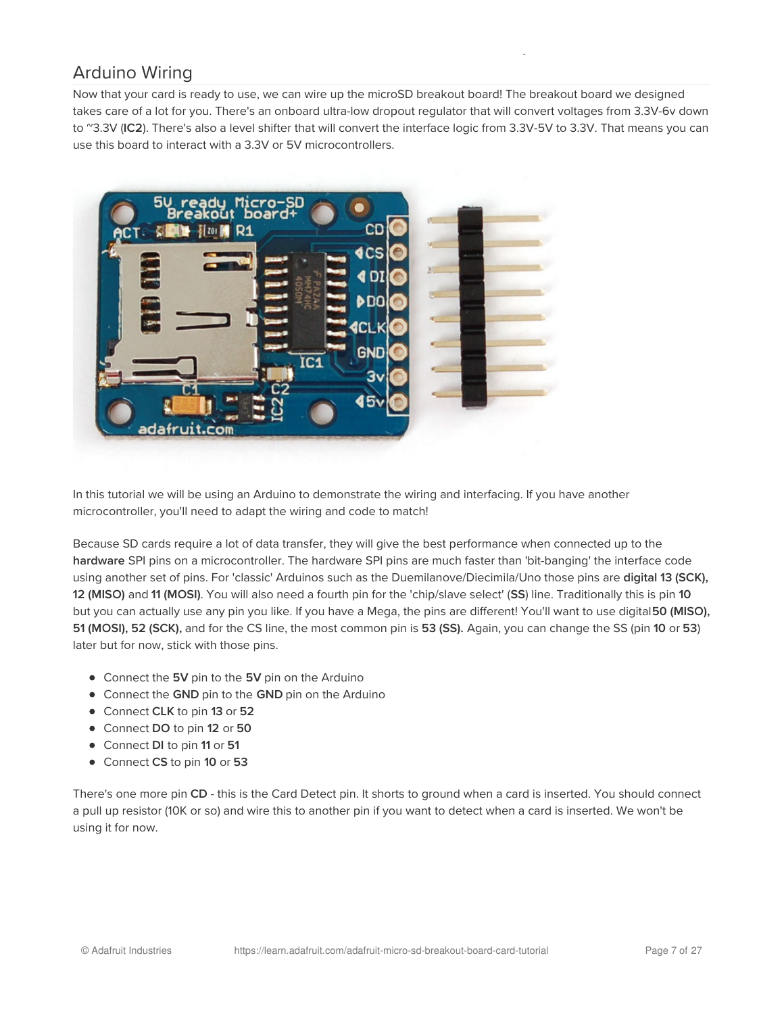# <span id="page-6-0"></span>Arduino Wiring

Now that your card is ready to use, we can wire up the microSD breakout board! The breakout board we designed takes care of a lot for you. There's an onboard ultra-low dropout regulator that will convert voltages from 3.3V-6v down to ~3.3V (IC2). There's also a level shifter that will convert the interface logic from 3.3V-5V to 3.3V. That means you can use this board to interact with a 3.3V or 5V microcontrollers.



In this tutorial we will be using an Arduino to demonstrate the wiring and interfacing. If you have another microcontroller, you'll need to adapt the wiring and code to match!

Because SD cards require a lot of data transfer, they will give the best performance when connected up to the hardware SPI pins on a microcontroller. The hardware SPI pins are much faster than 'bit-banging' the interface code using another set of pins. For 'classic' Arduinos such as the Duemilanove/Diecimila/Uno those pins are digital 13 (SCK), 12 (MISO) and 11 (MOSI). You will also need a fourth pin for the 'chip/slave select' (SS) line. Traditionally this is pin 10 but you can actually use any pin you like. If you have a Mega, the pins are different! You'll want to use digital 50 (MISO), 51 (MOSI), 52 (SCK), and for the CS line, the most common pin is 53 (SS). Again, you can change the SS (pin 10 or 53) later but for now, stick with those pins.

- Connect the 5V pin to the 5V pin on the Arduino
- Connect the GND pin to the GND pin on the Arduino
- Connect CLK to pin 13 or 52
- Connect DO to pin 12 or 50
- Connect DI to pin 11 or 51
- Connect CS to pin 10 or 53

There's one more pin CD - this is the Card Detect pin. It shorts to ground when a card is inserted. You should connect a pull up resistor (10K or so) and wire this to another pin if you want to detect when a card is inserted. We won't be using it for now.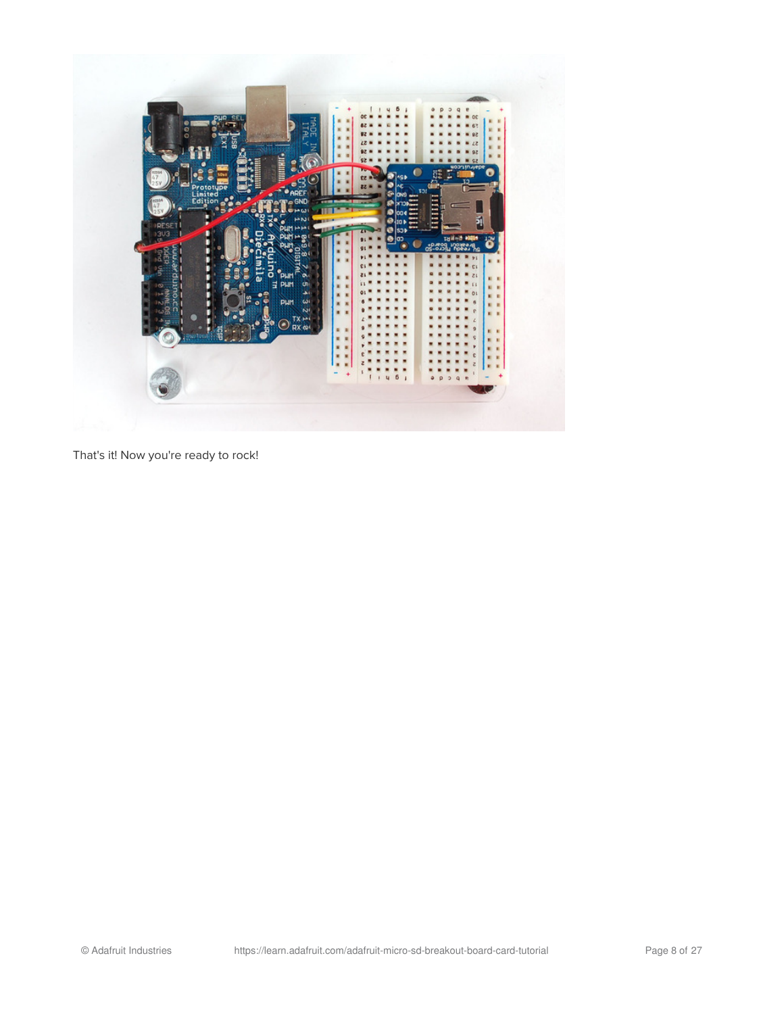

That's it! Now you're ready to rock!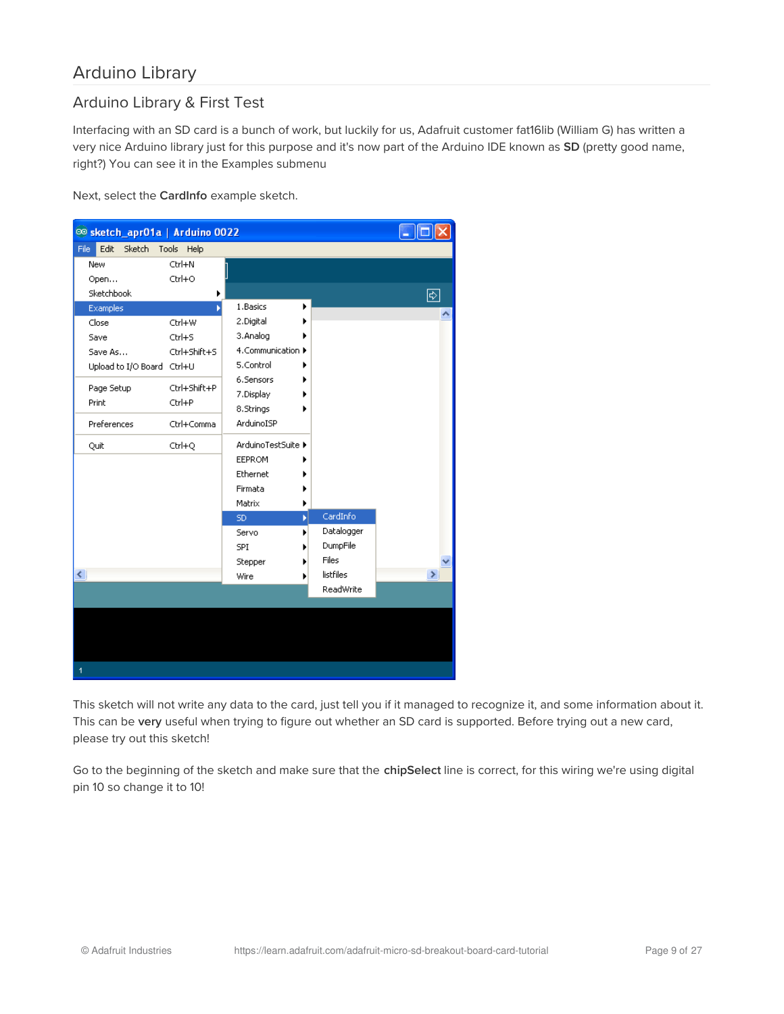## <span id="page-8-0"></span>Arduino Library

### <span id="page-8-1"></span>Arduino Library & First Test

Interfacing with an SD card is a bunch of work, but luckily for us, Adafruit customer fat16lib (William G) has written a very nice Arduino library just for this purpose and it's now part of the Arduino IDE known as SD (pretty good name, right?) You can see it in the Examples submenu

Next, select the CardInfo example sketch.



This sketch will not write any data to the card, just tell you if it managed to recognize it, and some information about it. This can be very useful when trying to figure out whether an SD card is supported. Before trying out a new card, please try out this sketch!

Go to the beginning of the sketch and make sure that the chipSelect line is correct, for this wiring we're using digital pin 10 so change it to 10!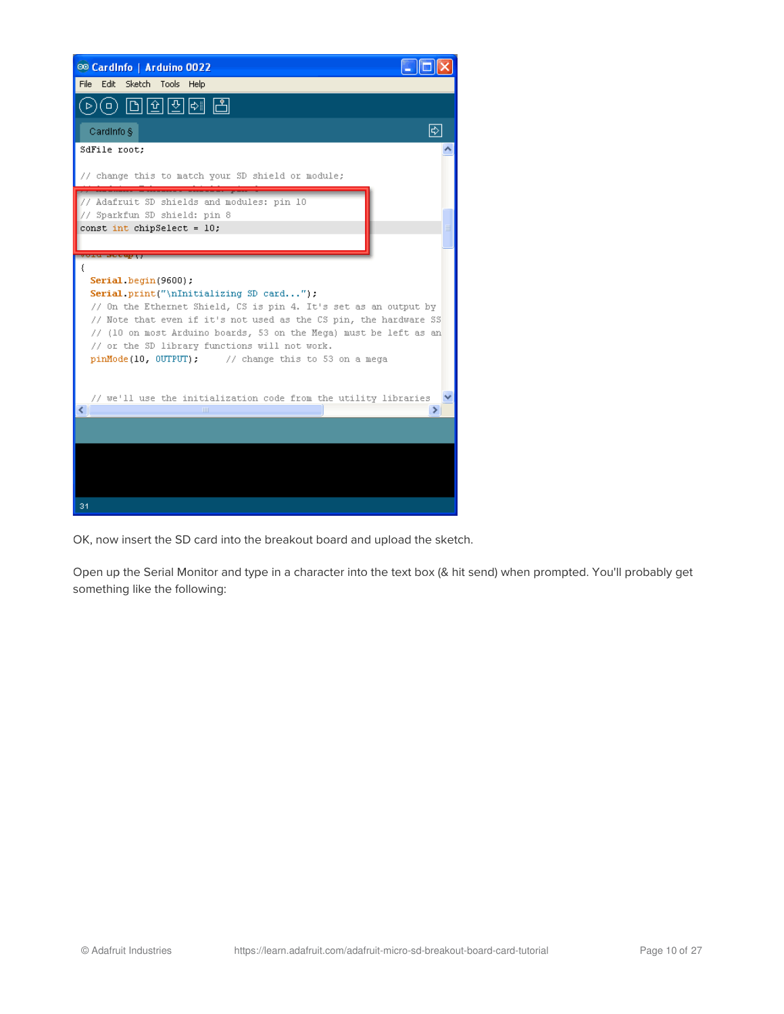

OK, now insert the SD card into the breakout board and upload the sketch.

Open up the Serial Monitor and type in a character into the text box (& hit send) when prompted. You'll probably get something like the following: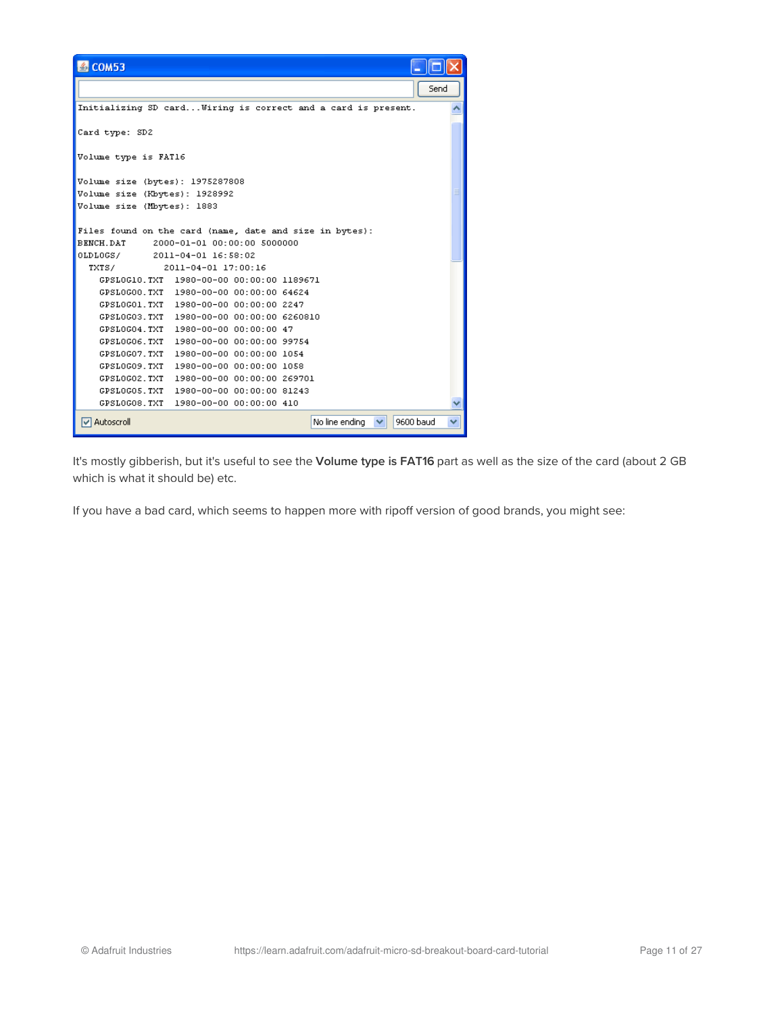| 图 COM53                                                                              |  |
|--------------------------------------------------------------------------------------|--|
| Send                                                                                 |  |
| Initializing SD card Wiring is correct and a card is present.                        |  |
| Card type: SD2                                                                       |  |
| Volume type is FAT16                                                                 |  |
| Volume size (bytes): 1975287808                                                      |  |
| Volume size (Kbytes): 1928992                                                        |  |
| Volume size (Mbytes): 1883                                                           |  |
|                                                                                      |  |
| Files found on the card (name, date and size in bytes):                              |  |
| BENCH DAT<br>2000-01-01 00:00:00 5000000                                             |  |
| 0LDL0GS/ 2011-04-01 16:58:02                                                         |  |
| TXTS/<br>2011-04-01 17:00:16                                                         |  |
| GPSLOG10.TXT 1980-00-00 00:00:00 1189671                                             |  |
| GPSLOGOO.TXT 1980-00-00 00:00:00 64624                                               |  |
| GPSLOGO1.TXT 1980-00-00 00:00:00 2247                                                |  |
| GPSLOGO3.TXT 1980-00-00 00:00:00 6260810                                             |  |
| GPSLOGO4.TXT 1980-00-00 00:00:00 47                                                  |  |
| GPSLOGO6.TXT 1980-00-00 00:00:00 99754                                               |  |
| GPSLOGO7.TXT<br>1980-00-00 00:00:00 1054                                             |  |
| 1980-00-00 00:00:00 1058<br>GPSLOGO9.TXT                                             |  |
| GPSLOGO2.TXT<br>1980-00-00 00:00:00 269701<br>GPSLOGO5.TXT 1980-00-00 00:00:00 81243 |  |
| GPSLOGO8.TXT 1980-00-00 00:00:00 410                                                 |  |
|                                                                                      |  |
| 9600 baud<br>Autoscroll<br>No line ending                                            |  |

It's mostly gibberish, but it's useful to see the Volume type is FAT16 part as well as the size of the card (about 2 GB which is what it should be) etc.

If you have a bad card, which seems to happen more with ripoff version of good brands, you might see: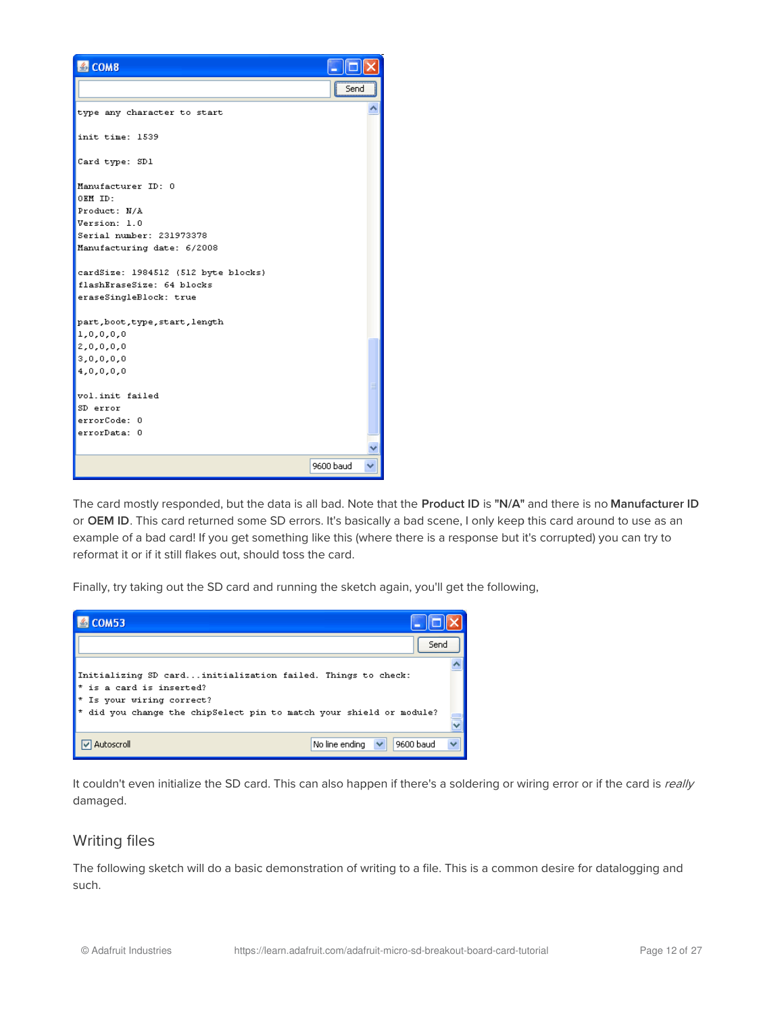

The card mostly responded, but the data is all bad. Note that the Product ID is "N/A" and there is no Manufacturer ID or OEM ID. This card returned some SD errors. It's basically a bad scene, I only keep this card around to use as an example of a bad card! If you get something like this (where there is a response but it's corrupted) you can try to reformat it or if it still flakes out, should toss the card.

Finally, try taking out the SD card and running the sketch again, you'll get the following,



It couldn't even initialize the SD card. This can also happen if there's a soldering or wiring error or if the card is really damaged.

#### <span id="page-11-0"></span>Writing files

The following sketch will do a basic demonstration of writing to a file. This is a common desire for datalogging and such.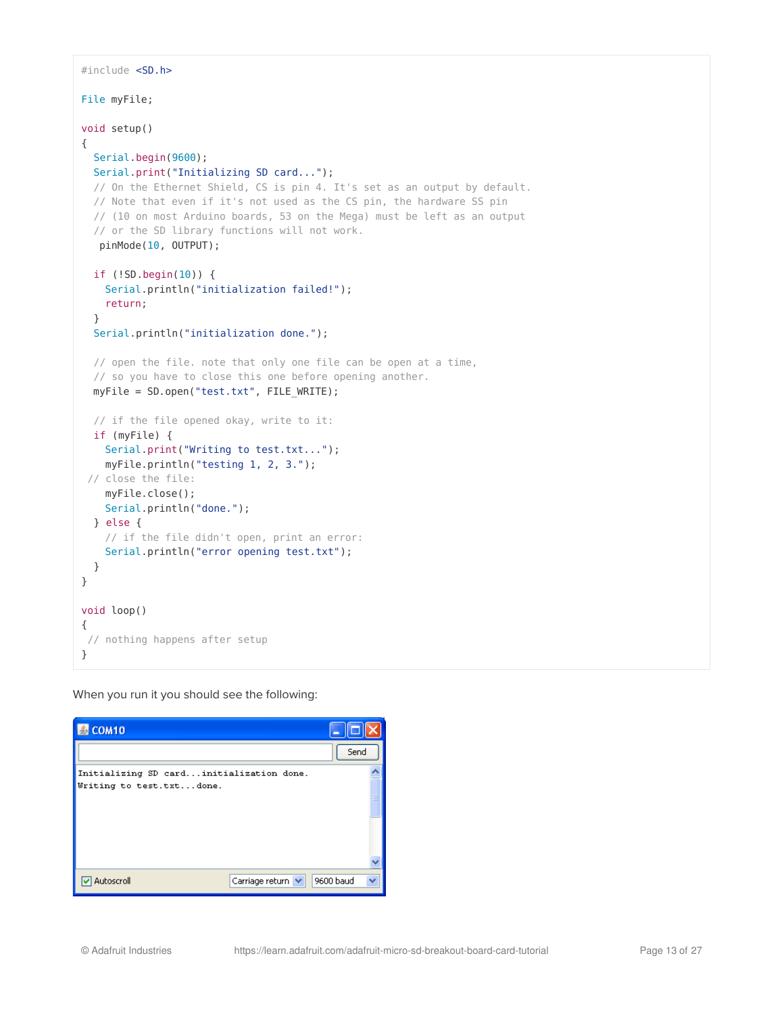```
#include <SD.h>
File myFile;
void setup()
{
 Serial.begin(9600);
 Serial.print("Initializing SD card...");
 // On the Ethernet Shield, CS is pin 4. It's set as an output by default.
  // Note that even if it's not used as the CS pin, the hardware SS pin
  // (10 on most Arduino boards, 53 on the Mega) must be left as an output
  // or the SD library functions will not work.
  pinMode(10, OUTPUT);
 if (!SD.begin(10)) {
    Serial.println("initialization failed!");
    return;
  }
  Serial.println("initialization done.");
 // open the file. note that only one file can be open at a time,
 // so you have to close this one before opening another.
 myFile = SD.open("test.txt", FILE WRITE);
 // if the file opened okay, write to it:
 if (myFile) {
    Serial.print("Writing to test.txt...");
    myFile.println("testing 1, 2, 3.");
 // close the file:
    myFile.close();
   Serial.println("done.");
 } else {
   // if the file didn't open, print an error:
    Serial.println("error opening test.txt");
  }
}
void loop()
{
// nothing happens after setup
}
```
When you run it you should see the following:

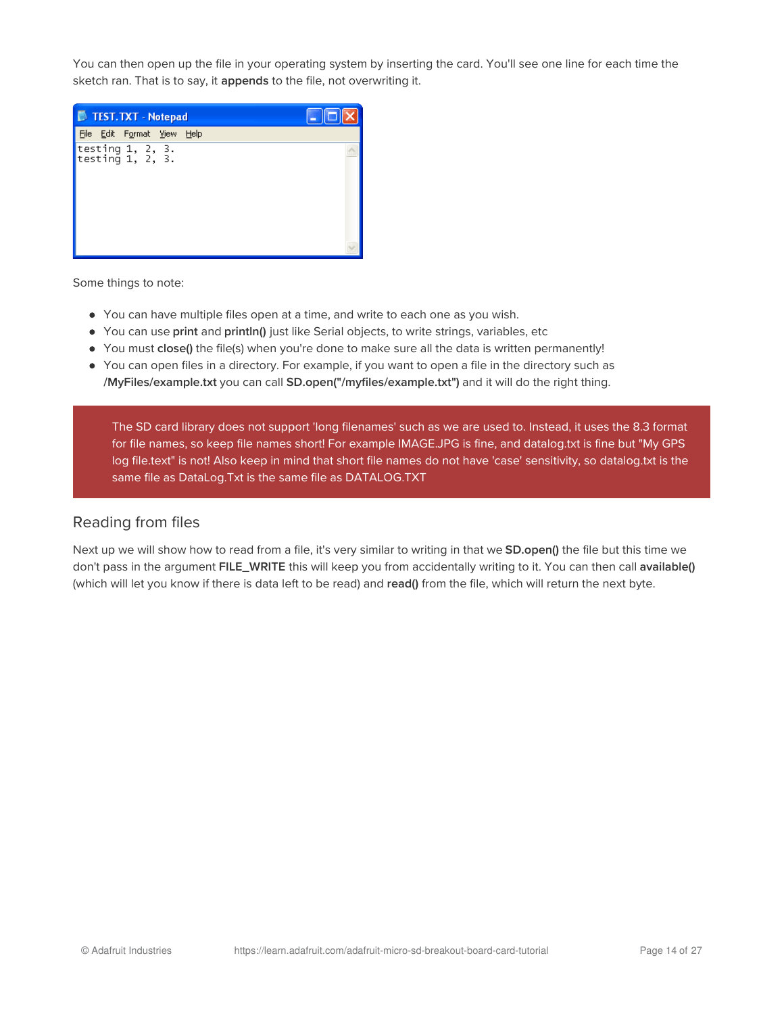You can then open up the file in your operating system by inserting the card. You'll see one line for each time the sketch ran. That is to say, it appends to the file, not overwriting it.



Some things to note:

- You can have multiple files open at a time, and write to each one as you wish.
- You can use print and println() just like Serial objects, to write strings, variables, etc
- You must close() the file(s) when you're done to make sure all the data is written permanently!
- You can open files in a directory. For example, if you want to open a file in the directory such as /MyFiles/example.txt you can call SD.open("/myfiles/example.txt") and it will do the right thing.

The SD card library does not support 'long filenames' such as we are used to. Instead, it uses the 8.3 format for file names, so keep file names short! For example IMAGE.JPG is fine, and datalog.txt is fine but "My GPS log file.text" is not! Also keep in mind that short file names do not have 'case' sensitivity, so datalog.txt is the same file as DataLog.Txt is the same file as DATALOG.TXT

#### <span id="page-13-0"></span>Reading from files

Next up we will show how to read from a file, it's very similar to writing in that we SD.open() the file but this time we don't pass in the argument FILE\_WRITE this will keep you from accidentally writing to it. You can then call available() (which will let you know if there is data left to be read) and read() from the file, which will return the next byte.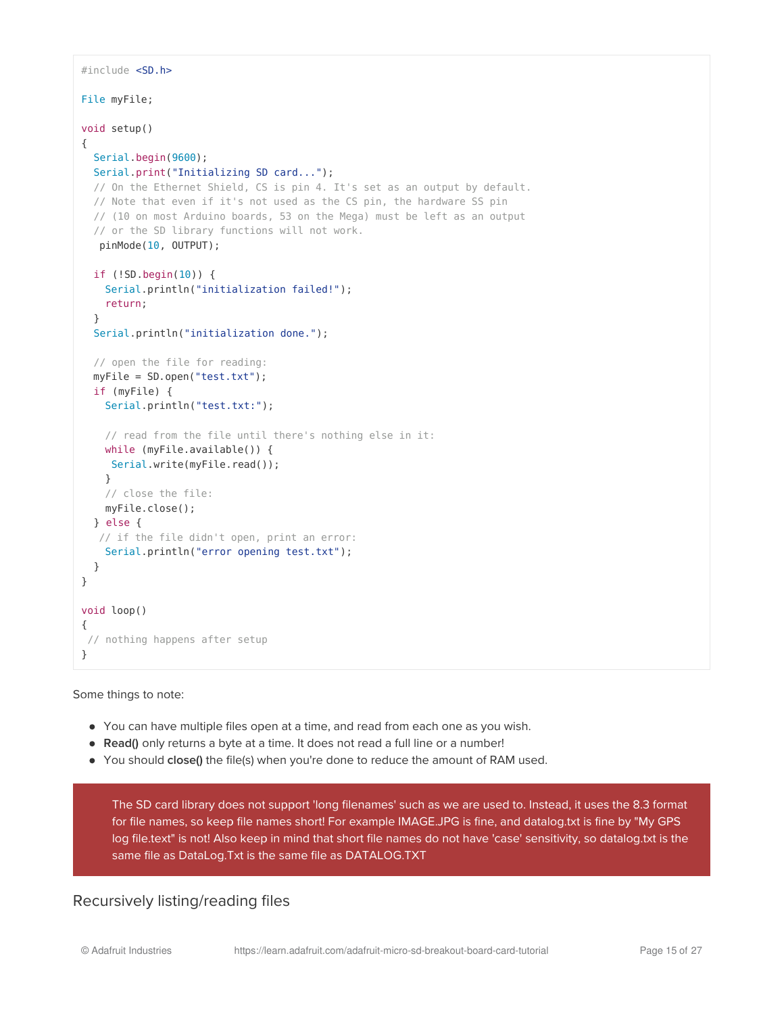```
#include <SD.h>
File myFile;
void setup()
{
 Serial.begin(9600);
 Serial.print("Initializing SD card...");
  // On the Ethernet Shield, CS is pin 4. It's set as an output by default.
  // Note that even if it's not used as the CS pin, the hardware SS pin
  // (10 on most Arduino boards, 53 on the Mega) must be left as an output
  // or the SD library functions will not work.
  pinMode(10, OUTPUT);
  if (!SD.begin(10)) {
    Serial.println("initialization failed!");
    return;
  }
  Serial.println("initialization done.");
 // open the file for reading:
 myFile = SD.open("test.txt");
  if (myFile) {
   Serial.println("test.txt:");
    // read from the file until there's nothing else in it:
   while (myFile.available()) {
    Serial.write(myFile.read());
    }
   // close the file:
   myFile.close();
  } else {
  // if the file didn't open, print an error:
    Serial.println("error opening test.txt");
  }
}
void loop()
{
 // nothing happens after setup
}
```
Some things to note:

- You can have multiple files open at a time, and read from each one as you wish.
- Read() only returns a byte at a time. It does not read a full line or a number!
- You should close() the file(s) when you're done to reduce the amount of RAM used.

The SD card library does not support 'long filenames' such as we are used to. Instead, it uses the 8.3 format for file names, so keep file names short! For example IMAGE.JPG is fine, and datalog.txt is fine by "My GPS log file.text" is not! Also keep in mind that short file names do not have 'case' sensitivity, so datalog.txt is the same file as DataLog.Txt is the same file as DATALOG.TXT

### <span id="page-14-0"></span>Recursively listing/reading files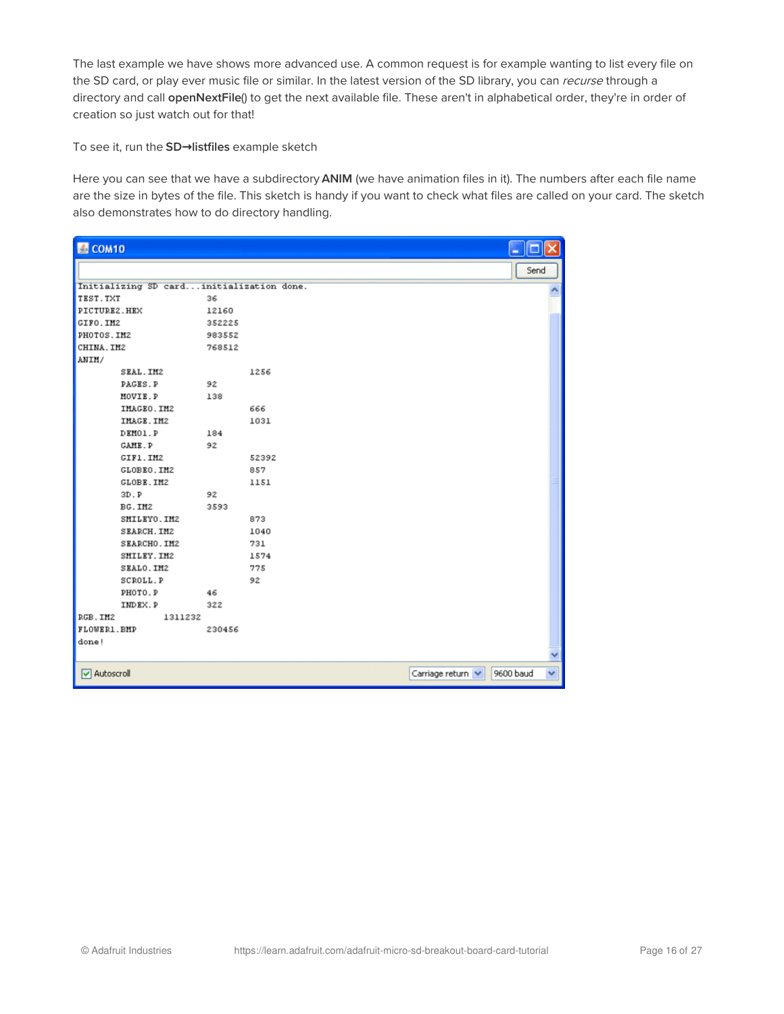The last example we have shows more advanced use. A common request is for example wanting to list every file on the SD card, or play ever music file or similar. In the latest version of the SD library, you can recurse through a directory and call openNextFile() to get the next available file. These aren't in alphabetical order, they're in order of creation so just watch out for that!

To see it, run the SD**→**listfiles example sketch

Here you can see that we have a subdirectory ANIM (we have animation files in it). The numbers after each file name are the size in bytes of the file. This sketch is handy if you want to check what files are called on your card. The sketch also demonstrates how to do directory handling.

| COM10                                    |        |       |                   | □         |   |
|------------------------------------------|--------|-------|-------------------|-----------|---|
|                                          |        |       |                   | Send      |   |
| Initializing SD cardinitialization done. |        |       |                   |           |   |
| TEST. TXT                                | 36     |       |                   |           |   |
| PICTURE2.HEX                             | 12160  |       |                   |           |   |
| GIFO.IM2                                 | 352225 |       |                   |           |   |
| PHOTOS. IM2                              | 983552 |       |                   |           |   |
| CHINA. IM2                               | 768512 |       |                   |           |   |
| ANIM/                                    |        |       |                   |           |   |
| SEAL. IM2                                |        | 1256  |                   |           |   |
| PAGES.P                                  | 92     |       |                   |           |   |
| MOVIE.P                                  | 138    |       |                   |           |   |
| IMAGEO.IM2                               |        | 666   |                   |           |   |
| IMAGE.IM2                                |        | 1031  |                   |           |   |
| DEMO1.P                                  | 184    |       |                   |           |   |
| GAME.P                                   | 92     |       |                   |           |   |
| GIF1.IM2                                 |        | 52392 |                   |           |   |
| GLOBEO.IM2                               |        | 857   |                   |           |   |
| GLOBE.IM2                                |        | 1151  |                   |           |   |
| 3D.P                                     | 92     |       |                   |           |   |
| BG.IM2                                   | 3593   |       |                   |           |   |
| SMILEYO.IM2                              |        | 873   |                   |           |   |
| <b>SEARCH. IM2</b>                       |        | 1040  |                   |           |   |
| SEARCHO. IM2                             |        | 731   |                   |           |   |
| SMILEY. IM2                              |        | 1574  |                   |           |   |
| SEALO.IM2                                |        | 775   |                   |           |   |
| <b>SCROLL.P</b>                          |        | 92    |                   |           |   |
| PHOTO.P                                  | 46     |       |                   |           |   |
| INDEX.P                                  | 322    |       |                   |           |   |
| RGB. IM2<br>1311232                      |        |       |                   |           |   |
| FLOWER1. BMP                             | 230456 |       |                   |           |   |
| done!                                    |        |       |                   |           |   |
|                                          |        |       |                   |           |   |
| Autoscroll                               |        |       | Carriage return V | 9600 baud | v |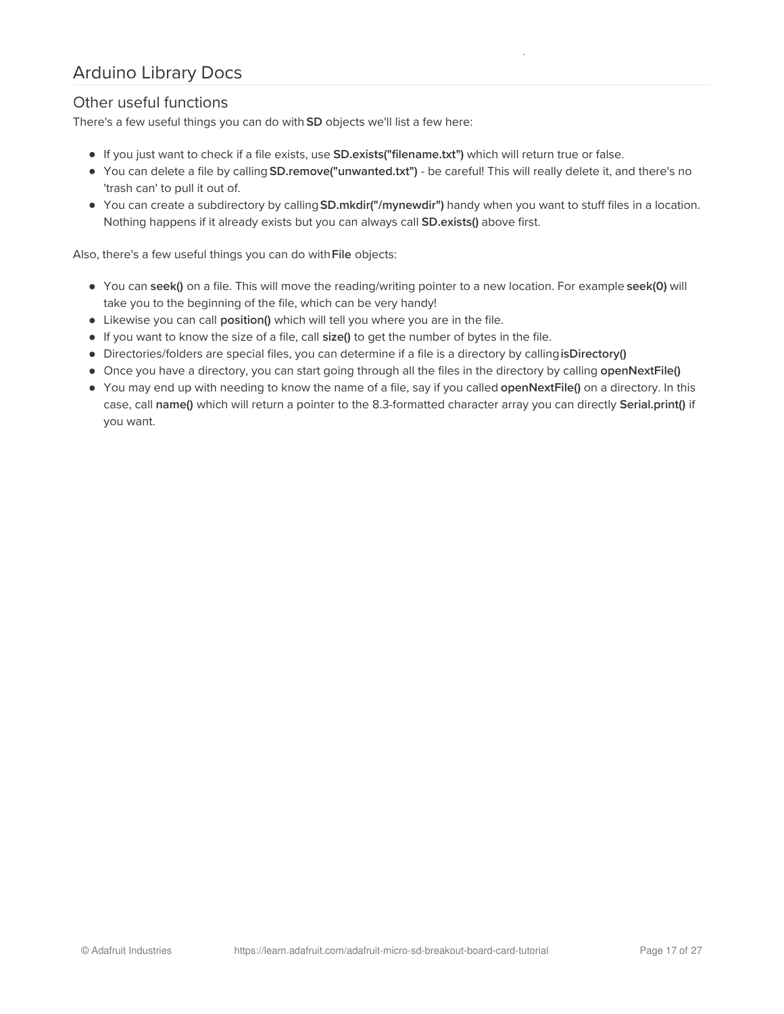# <span id="page-16-0"></span>Arduino Library Docs

### <span id="page-16-1"></span>Other useful functions

There's a few useful things you can do with SD objects we'll list a few here:

- If you just want to check if a file exists, use SD.exists("filename.txt") which will return true or false.
- You can delete a file by calling SD.remove("unwanted.txt") be careful! This will really delete it, and there's no 'trash can' to pull it out of.
- You can create a subdirectory by callingSD.mkdir("/mynewdir") handy when you want to stuff files in a location. Nothing happens if it already exists but you can always call **SD.exists()** above first.

Also, there's a few useful things you can do with File objects:

- You can seek() on a file. This will move the reading/writing pointer to a new location. For example seek(0) will take you to the beginning of the file, which can be very handy!
- Likewise you can call position() which will tell you where you are in the file.
- If you want to know the size of a file, call size() to get the number of bytes in the file.
- Directories/folders are special files, you can determine if a file is a directory by callingisDirectory()
- Once you have a directory, you can start going through all the files in the directory by calling openNextFile()
- You may end up with needing to know the name of a file, say if you called openNextFile() on a directory. In this case, call name() which will return a pointer to the 8.3-formatted character array you can directly Serial.print() if you want.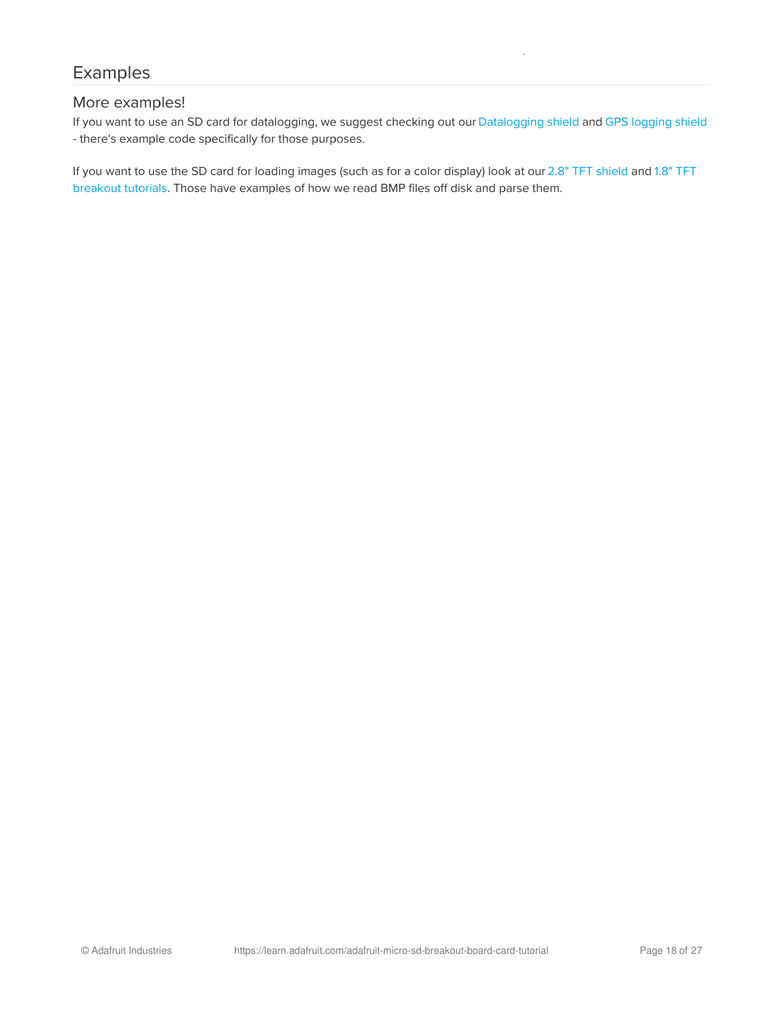# <span id="page-17-0"></span>Examples

#### <span id="page-17-1"></span>More examples!

If you want to use an SD card for datalogging, we suggest checking out our [Datalogging](https://learn.adafruit.com/adafruit-data-logger-shield/) shield and GPS [logging](https://learn.adafruit.com/adafruit-ultimate-gps-logger-shield) shield - there's example code specifically for those purposes.

If you want to use the SD card for loading images (such as for a color display) look at our 2.8" TFT [shield](https://learn.adafruit.com/adafruit-2-8-tft-touch-shield-v2) and 1.8" TFT breakout tutorials. Those have [examples](http://learn.adafruit.com/1-8-tft-display) of how we read BMP files off disk and parse them.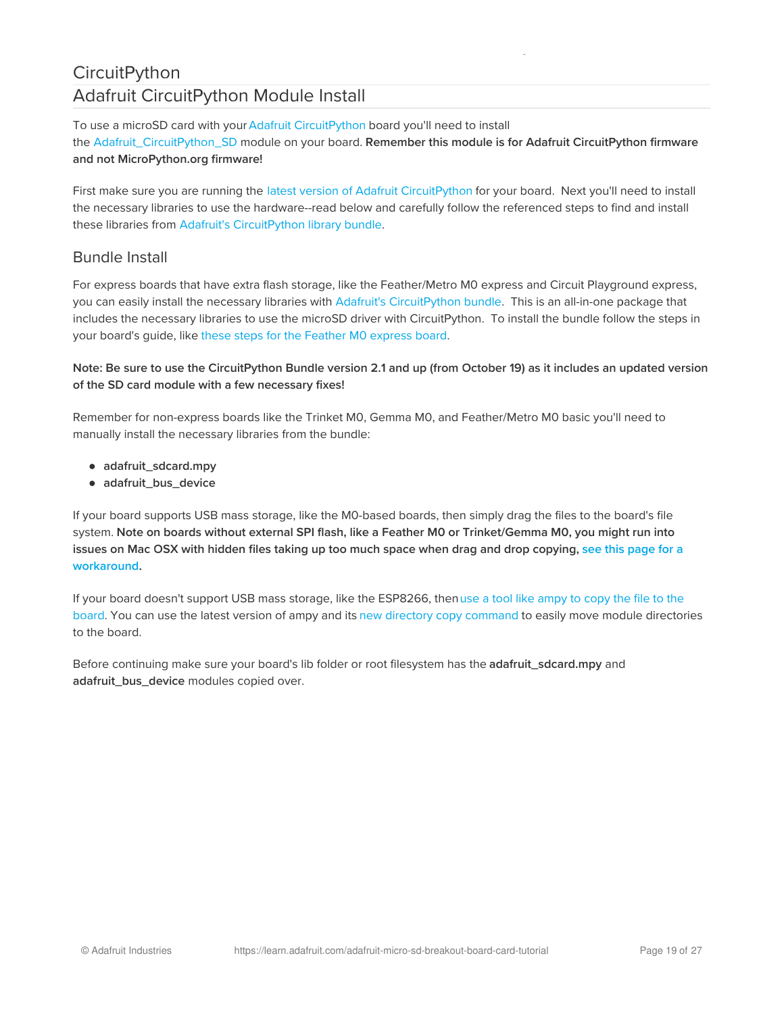# <span id="page-18-1"></span><span id="page-18-0"></span>**CircuitPython** Adafruit CircuitPython Module Install

To use a microSD card with your Adafruit [CircuitPython](https://blog.adafruit.com/2017/01/09/welcome-to-the-adafruit-circuitpython-beta/) board you'll need to install the [Adafruit\\_CircuitPython\\_SD](https://github.com/adafruit/Adafruit_CircuitPython_SD) module on your board. Remember this module is for Adafruit CircuitPython firmware and not MicroPython.org firmware!

First make sure you are running the latest version of Adafruit [CircuitPython](https://github.com/adafruit/circuitpython/releases) for your board. Next you'll need to install the necessary libraries to use the hardware--read below and carefully follow the referenced steps to find and install these libraries from Adafruit's [CircuitPython](https://github.com/adafruit/Adafruit_CircuitPython_Bundle) library bundle.

### <span id="page-18-2"></span>Bundle Install

For express boards that have extra flash storage, like the Feather/Metro M0 express and Circuit Playground express, you can easily install the necessary libraries with Adafruit's [CircuitPython](https://github.com/adafruit/Adafruit_CircuitPython_Bundle) bundle. This is an all-in-one package that includes the necessary libraries to use the microSD driver with CircuitPython. To install the bundle follow the steps in your board's guide, like these steps for the Feather M0 [express](file:///adafruit-feather-m0-express-designed-for-circuit-python-circuitpython/installing-libraries) board.

#### Note: Be sure to use the CircuitPython Bundle version 2.1 and up (from October 19) as it includes an updated version of the SD card module with a few necessary fixes!

Remember for non-express boards like the Trinket M0, Gemma M0, and Feather/Metro M0 basic you'll need to manually install the necessary libraries from the bundle:

- adafruit\_sdcard.mpy
- adafruit bus device

If your board supports USB mass storage, like the M0-based boards, then simply drag the files to the board's file system. Note on boards without external SPI flash, like a Feather M0 or Trinket/Gemma M0, you might run into issues on Mac OSX with hidden files taking up too much space when drag and drop copying, see this page for a [workaround.](file:///micropython-for-samd21/usb-mass-storage#mac-osx-file-copy-issues)

If your board doesn't support USB mass storage, like the ESP8266, thenuse a tool like ampy to copy the file to the board. You can use the latest version of ampy and its new directory copy [command](file:///micropython-basics-load-files-and-run-code) to easily move module directories to the board.

Before continuing make sure your board's lib folder or root filesystem has the adafruit\_sdcard.mpy and adafruit\_bus\_device modules copied over.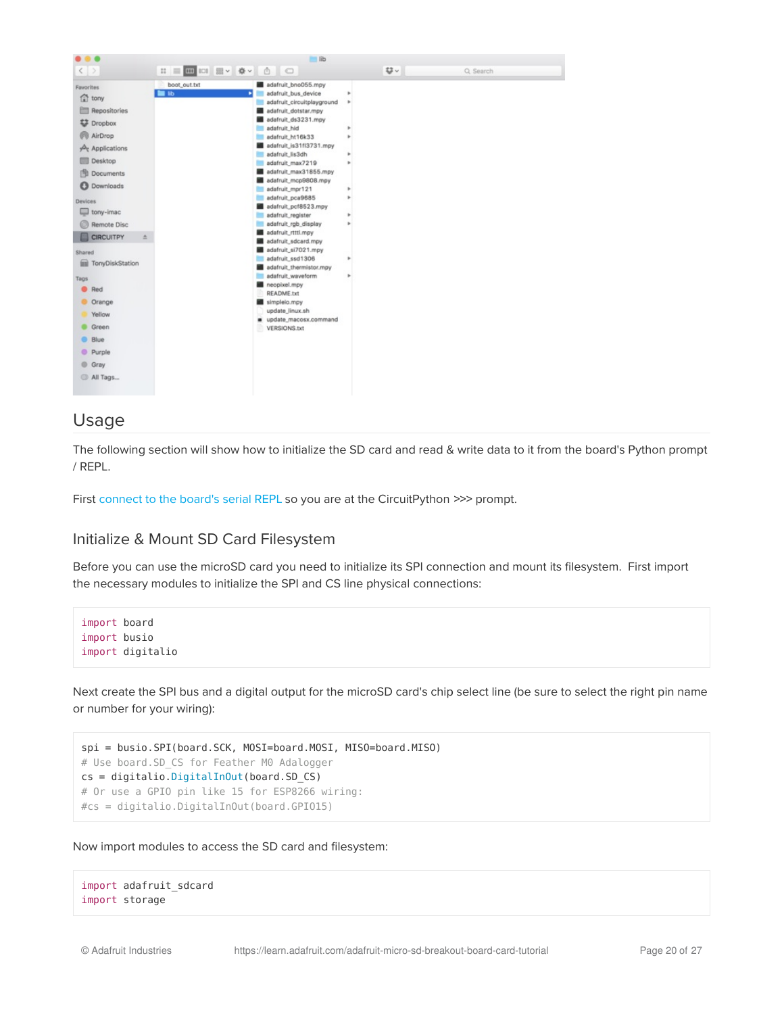

### <span id="page-19-0"></span>Usage

The following section will show how to initialize the SD card and read & write data to it from the board's Python prompt / REPL.

First [connect](file:///micropython-basics-how-to-load-micropython-on-a-board/serial-terminal) to the board's serial REPL so you are at the CircuitPython >>> prompt.

#### <span id="page-19-1"></span>Initialize & Mount SD Card Filesystem

Before you can use the microSD card you need to initialize its SPI connection and mount its filesystem. First import the necessary modules to initialize the SPI and CS line physical connections:

```
import board
import busio
import digitalio
```
Next create the SPI bus and a digital output for the microSD card's chip select line (be sure to select the right pin name or number for your wiring):

```
spi = busio.SPI(board.SCK, MOSI=board.MOSI, MISO=board.MISO)
# Use board.SD_CS for Feather M0 Adalogger
cs = digitalio.DigitalInOut(board.SD_CS)
# Or use a GPIO pin like 15 for ESP8266 wiring:
#cs = digitalio.DigitalInOut(board.GPIO15)
```
Now import modules to access the SD card and filesystem:

```
import adafruit_sdcard
import storage
```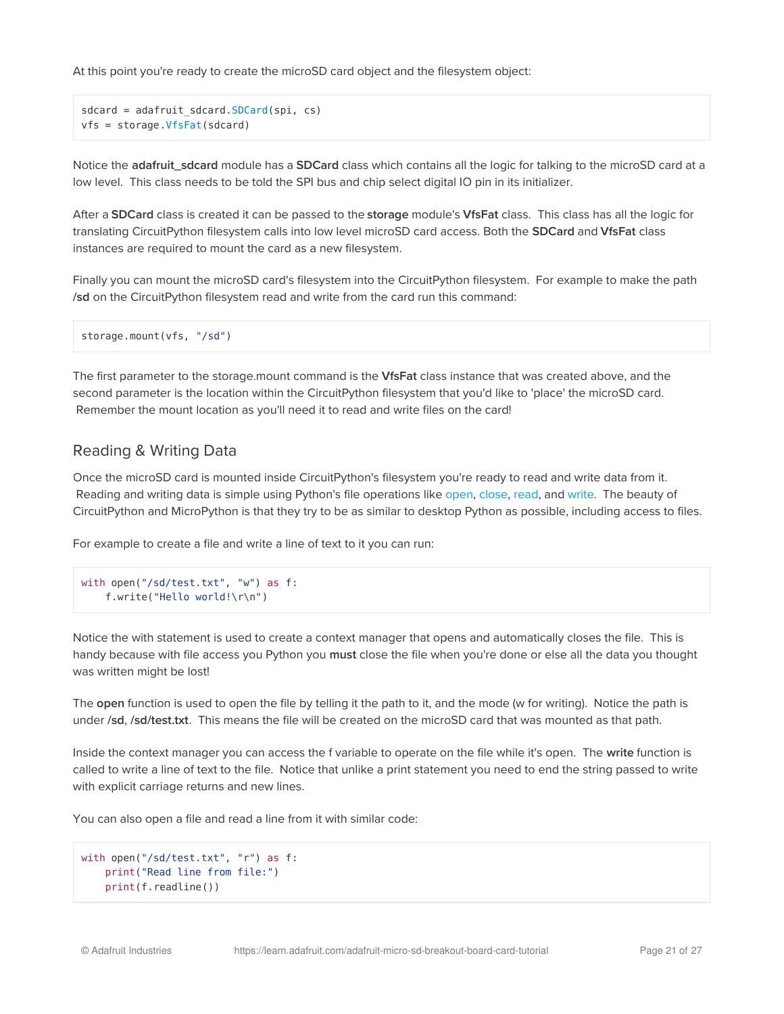At this point you're ready to create the microSD card object and the filesystem object:

```
sdcard = adafruit sdcard.SDCard(Spi, cs)vfs = storage.VfsFat(sdcard)
```
Notice the adafruit\_sdcard module has a SDCard class which contains all the logic for talking to the microSD card at a low level. This class needs to be told the SPI bus and chip select digital IO pin in its initializer.

After a SDCard class is created it can be passed to the storage module's VfsFat class. This class has all the logic for translating CircuitPython filesystem calls into low level microSD card access. Both the SDCard and VfsFat class instances are required to mount the card as a new filesystem.

Finally you can mount the microSD card's filesystem into the CircuitPython filesystem. For example to make the path /sd on the CircuitPython filesystem read and write from the card run this command:

```
storage.mount(vfs, "/sd")
```
The first parameter to the storage.mount command is the VfsFat class instance that was created above, and the second parameter is the location within the CircuitPython filesystem that you'd like to 'place' the microSD card. Remember the mount location as you'll need it to read and write files on the card!

### <span id="page-20-0"></span>Reading & Writing Data

Once the microSD card is mounted inside CircuitPython's filesystem you're ready to read and write data from it. Reading and writing data is simple using Python's file operations like [open](https://docs.python.org/3/library/functions.html#open), [close](https://docs.python.org/3/library/io.html#io.IOBase.close), [read](https://docs.python.org/3/library/io.html#io.RawIOBase.read), and [write.](https://docs.python.org/3/library/io.html#io.RawIOBase.write) The beauty of CircuitPython and MicroPython is that they try to be as similar to desktop Python as possible, including access to files.

For example to create a file and write a line of text to it you can run:

```
with open("/sd/test.txt", "w") as f:
    f.write("Hello world!\r\n")
```
Notice the with statement is used to create a context manager that opens and automatically closes the file. This is handy because with file access you Python you must close the file when you're done or else all the data you thought was written might be lost!

The open function is used to open the file by telling it the path to it, and the mode (w for writing). Notice the path is under /sd, /sd/test.txt. This means the file will be created on the microSD card that was mounted as that path.

Inside the context manager you can access the f variable to operate on the file while it's open. The write function is called to write a line of text to the file. Notice that unlike a print statement you need to end the string passed to write with explicit carriage returns and new lines.

You can also open a file and read a line from it with similar code:

```
with open("/sd/test.txt", "r") as f:
    print("Read line from file:")
    print(f.readline())
```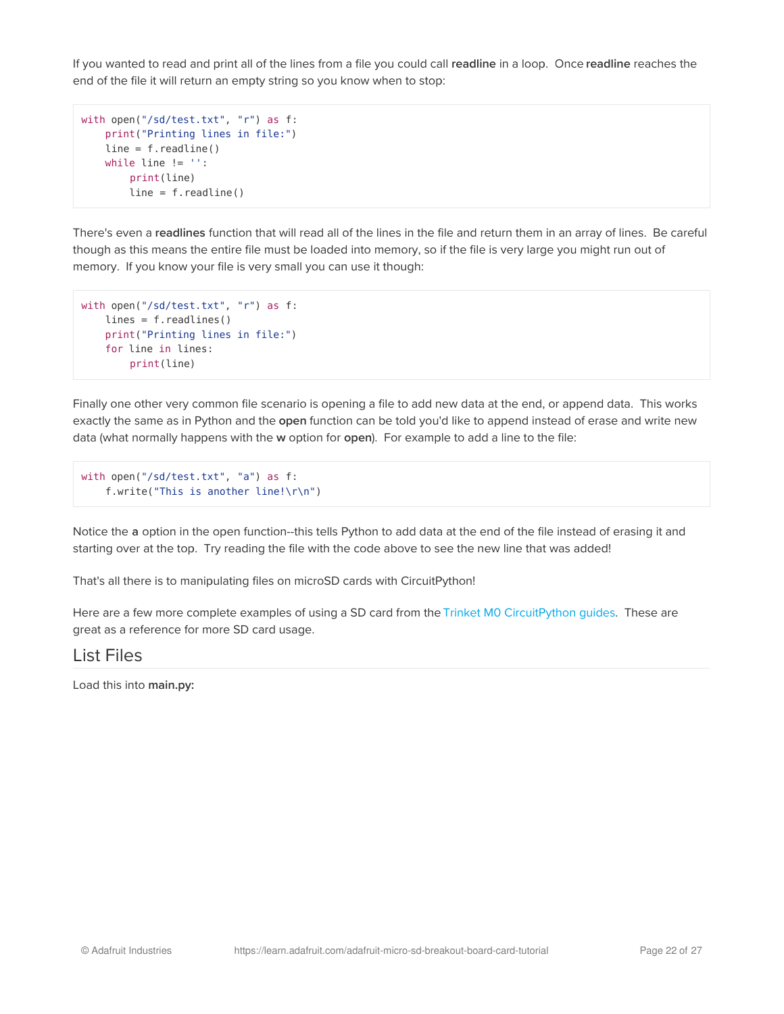If you wanted to read and print all of the lines from a file you could call readline in a loop. Once readline reaches the end of the file it will return an empty string so you know when to stop:

```
with open("/sd/test.txt", "r") as f:
   print("Printing lines in file:")
    line = f.readline()
   while line != '':
       print(line)
       line = f.readline()
```
There's even a readlines function that will read all of the lines in the file and return them in an array of lines. Be careful though as this means the entire file must be loaded into memory, so if the file is very large you might run out of memory. If you know your file is very small you can use it though:

```
with open("/sd/test.txt", "r") as f:
   lines = f.readlines()
   print("Printing lines in file:")
   for line in lines:
        print(line)
```
Finally one other very common file scenario is opening a file to add new data at the end, or append data. This works exactly the same as in Python and the open function can be told you'd like to append instead of erase and write new data (what normally happens with the w option for open). For example to add a line to the file:

```
with open("/sd/test.txt", "a") as f:
    f.write("This is another line!\r\n")
```
Notice the a option in the open function--this tells Python to add data at the end of the file instead of erasing it and starting over at the top. Try reading the file with the code above to see the new line that was added!

That's all there is to manipulating files on microSD cards with CircuitPython!

Here are a few more complete examples of using a SD card from the Trinket M0 [CircuitPython](file:///adafruit-trinket-m0-circuitpython-arduino/circuitpython-spi-sd-card) guides. These are great as a reference for more SD card usage.

### <span id="page-21-0"></span>List Files

Load this into main.py: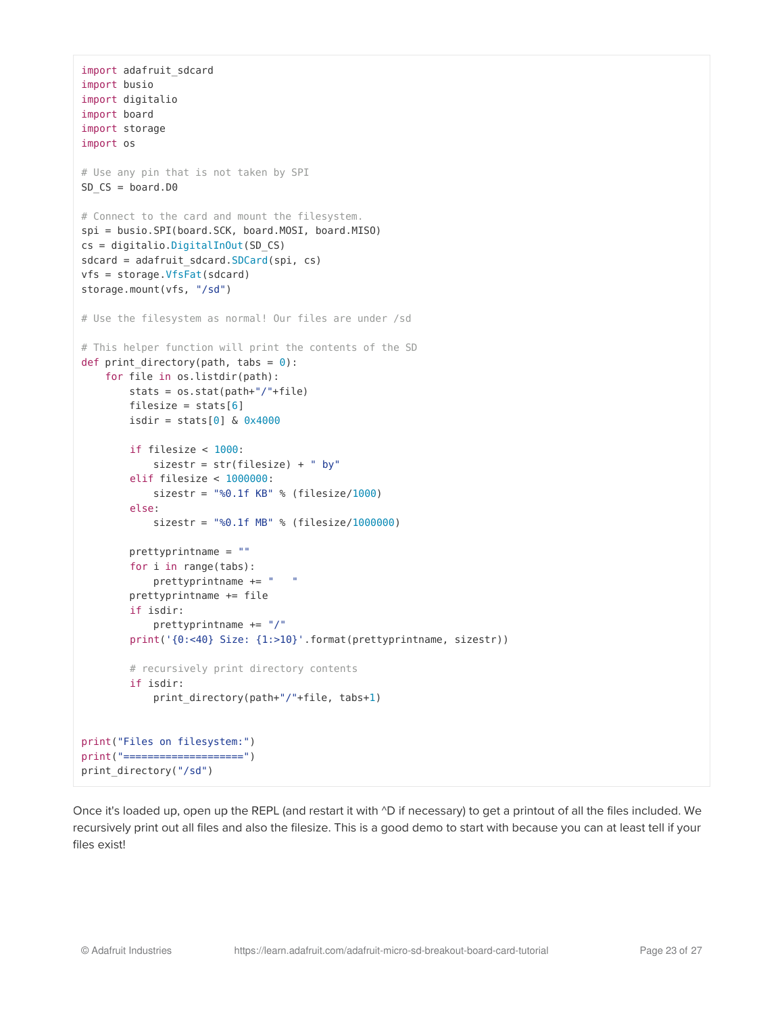```
import adafruit_sdcard
import busio
import digitalio
import board
import storage
import os
# Use any pin that is not taken by SPI
SD_CS = board.D0# Connect to the card and mount the filesystem.
spi = busio.SPI(board.SCK, board.MOSI, board.MISO)
cs = digitalio.DigitalInOut(SD_CS)
sdcard = adafruit_sdcard.SDCard(spi, cs)
vfs = storage.VfsFat(sdcard)
storage.mount(vfs, "/sd")
# Use the filesystem as normal! Our files are under /sd
# This helper function will print the contents of the SD
def print directory(path, tabs = \theta):
    for file in os.listdir(path):
        stats = os.stat(path+"/"+file)
        filesize = stats[6]isdir = stats[0] & 0 \times 4000if filesize < 1000:
           sizestr = str(filesize) + " by"
        elif filesize < 1000000:
            sizestr = "%0.1f KB" % (filesize/1000)
        else:
            sizestr = "%0.1f MB" % (filesize/1000000)
        prettyprintname = ""
        for i in range(tabs):
            prettyprintname += " "
        prettyprintname += file
        if isdir:
            prettyprintname += "/"
        print('{0:<40} Size: {1:>10}'.format(prettyprintname, sizestr))
        # recursively print directory contents
        if isdir:
            print_directory(path+"/"+file, tabs+1)
print("Files on filesystem:")
print("====================")
print_directory("/sd")
```
Once it's loaded up, open up the REPL (and restart it with  $\Delta D$  if necessary) to get a printout of all the files included. We recursively print out all files and also the filesize. This is a good demo to start with because you can at least tell if your files exist!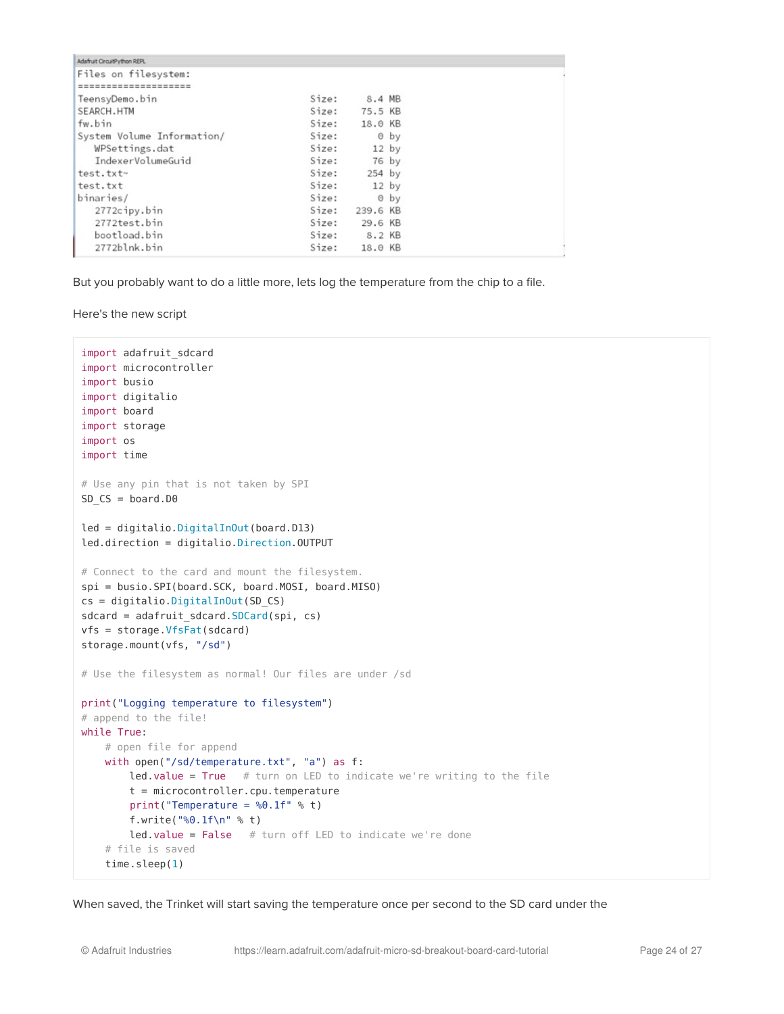| Adafruit CircuitPython REPL |       |               |      |  |
|-----------------------------|-------|---------------|------|--|
| Files on filesystem:        |       |               |      |  |
| -------------------         |       |               |      |  |
| TeensyDemo.bin              | Size: | 8.4 MB        |      |  |
| SEARCH.HTM                  |       | Size: 75.5 KB |      |  |
| fw.bin                      |       | Size: 18.0 KB |      |  |
| System Volume Information/  | Size: |               | 0 by |  |
| WPSettings.dat              | Size: | $12$ by       |      |  |
| IndexerVolumeGuid           | Size: | 76 by         |      |  |
| test.txt~                   | Size: | $254$ by      |      |  |
| test.txt                    | Size: | $12$ by       |      |  |
| binaries/                   | Size: |               | 0 by |  |
| 2772cipy.bin                | Size: | 239.6 KB      |      |  |
| 2772test.bin                |       | Size: 29.6 KB |      |  |
| bootload.bin                |       | Size: 8.2 KB  |      |  |
| 2772blnk.bin                | Size: | 18.0 KB       |      |  |

But you probably want to do a little more, lets log the temperature from the chip to a file.

Here's the new script

```
import adafruit_sdcard
import microcontroller
import busio
import digitalio
import board
import storage
import os
import time
# Use any pin that is not taken by SPI
SD CS = board.D0led = digitalio.DigitalInOut(board.D13)
led.direction = digitalio.Direction.OUTPUT
# Connect to the card and mount the filesystem.
spi = busio.SPI(board.SCK, board.MOSI, board.MISO)
cs = digitalio.DigitalInOut(SD_CS)
sdcard = adafruit sdcard.SDCard(spi, cs)vfs = storage.VfsFat(sdcard)
storage.mount(vfs, "/sd")
# Use the filesystem as normal! Our files are under /sd
print("Logging temperature to filesystem")
# append to the file!
while True:
    # open file for append
    with open("/sd/temperature.txt", "a") as f:
       led.value = True # turn on LED to indicate we're writing to the file
        t = microcontroller.cpu.temperature
        print("Temperature = %0.1f" % t)
       f.write("%0.1f\n" % t)
       led.value = False # turn off LED to indicate we're done
    # file is saved
    time.sleep(1)
```
When saved, the Trinket will start saving the temperature once per second to the SD card under the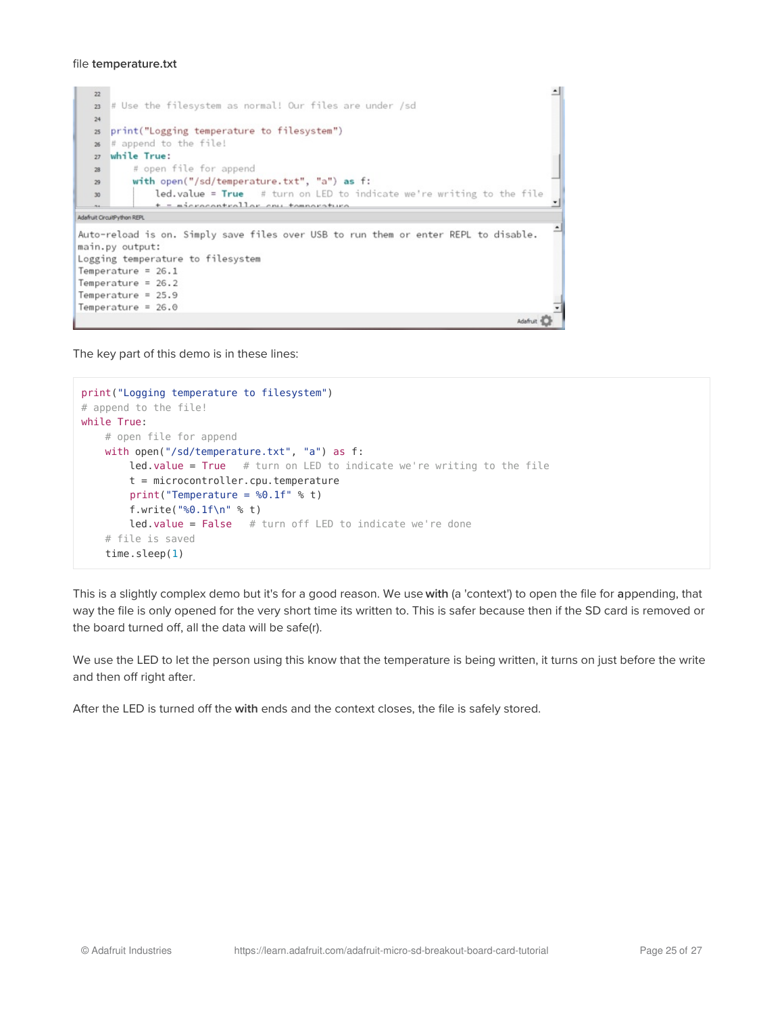#### file temperature.txt

```
∸
   2223 # Use the filesystem as normal! Our files are under /sd
   24as print("Logging temperature to filesystem")
  26 # append to the file!
  27 while True:
          # open file for append
  _{\rm 28}with open("/sd/temperature.txt", "a") as f:
   ^{29}led, value = True # turn on LED to indicate we're writing to the file
   30<sup>°</sup>+ = microcontrollor env tomnearative\overline{a}Adafruit CircuitPython REPL
                                                                                                \overline{\phantom{0}}Auto-reload is on. Simply save files over USB to run them or enter REPL to disable.
main.py output:
Logging temperature to filesystem
Temperature = 26.1Temperature = 26.2Temperature = 25.9Temperature = 26.0Adafruit
```
The key part of this demo is in these lines:

```
print("Logging temperature to filesystem")
# append to the file!
while True:
   # open file for append
   with open("/sd/temperature.txt", "a") as f:
       led.value = True # turn on LED to indicate we're writing to the filet = microcontroller.cpu.temperature
       print("Temperature = %0.1f" % t)
       f.write("%0.1f\n" % t)
       led.value = False # turn off LED to indicate we're done
    # file is saved
    time.sleep(1)
```
This is a slightly complex demo but it's for a good reason. We use with (a 'context') to open the file for appending, that way the file is only opened for the very short time its written to. This is safer because then if the SD card is removed or the board turned off, all the data will be safe(r).

We use the LED to let the person using this know that the temperature is being written, it turns on just before the write and then off right after.

After the LED is turned off the with ends and the context closes, the file is safely stored.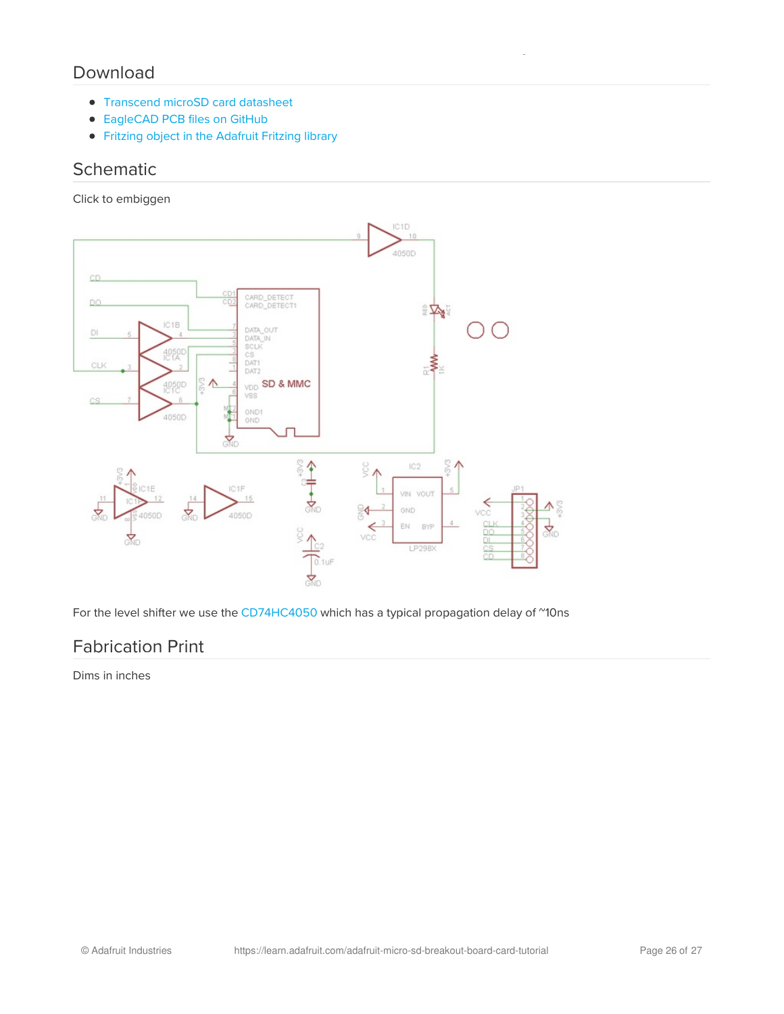### <span id="page-25-0"></span>Download

- [Transcend](http://www.adafruit.com/datasheets/TS16GUSDHC6.pdf) microSD card datasheet
- [EagleCAD](https://github.com/adafruit/MicroSD-breakout-board) PCB files on GitHub
- **•** Fritzing object in the [Adafruit](https://github.com/adafruit/Fritzing-Library) Fritzing library

### <span id="page-25-1"></span>**Schematic**

Click to embiggen



For the level shifter we use the [CD74HC4050](http://www.ti.com/product/CD74HC4050/) which has a typical propagation delay of "10ns

### <span id="page-25-2"></span>Fabrication Print

Dims in inches